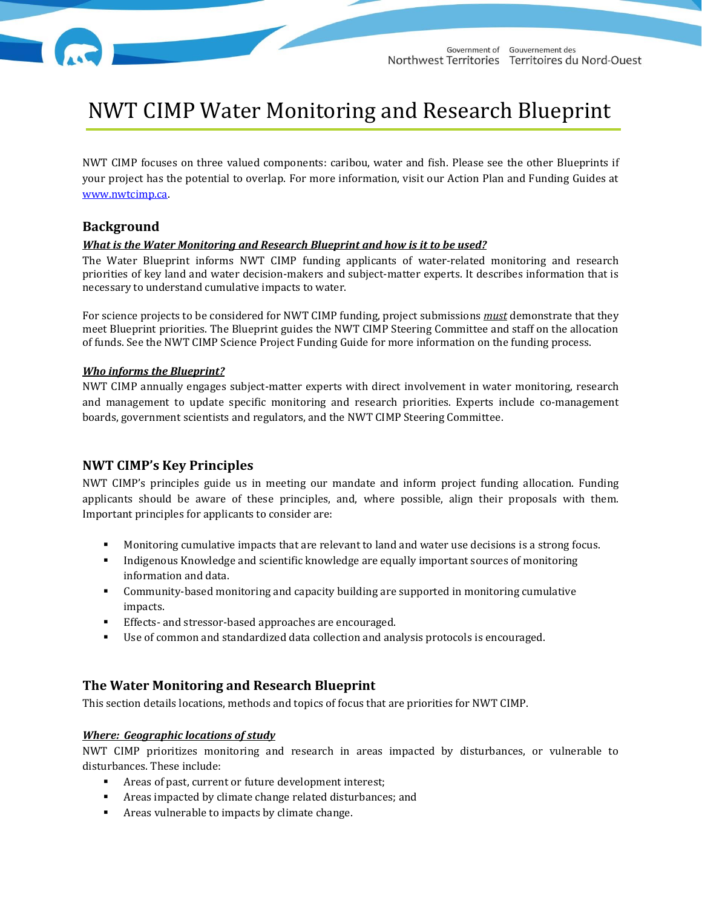

# NWT CIMP Water Monitoring and Research Blueprint

NWT CIMP focuses on three valued components: caribou, water and fish. Please see the other Blueprints if your project has the potential to overlap. For more information, visit our Action Plan and Funding Guides at [www.nwtcimp.ca.](http://www.nwtcimp.ca/) 

## **Background**

#### *What is the Water Monitoring and Research Blueprint and how is it to be used?*

The Water Blueprint informs NWT CIMP funding applicants of water-related monitoring and research priorities of key land and water decision-makers and subject-matter experts. It describes information that is necessary to understand cumulative impacts to water.

For science projects to be considered for NWT CIMP funding, project submissions *must* demonstrate that they meet Blueprint priorities. The Blueprint guides the NWT CIMP Steering Committee and staff on the allocation of funds. See the NWT CIMP Science Project Funding Guide for more information on the funding process.

### *Who informs the Blueprint?*

NWT CIMP annually engages subject-matter experts with direct involvement in water monitoring, research and management to update specific monitoring and research priorities. Experts include co-management boards, government scientists and regulators, and the NWT CIMP Steering Committee.

# **NWT CIMP's Key Principles**

NWT CIMP's principles guide us in meeting our mandate and inform project funding allocation. Funding applicants should be aware of these principles, and, where possible, align their proposals with them. Important principles for applicants to consider are:

- **•** Monitoring cumulative impacts that are relevant to land and water use decisions is a strong focus.
- Indigenous Knowledge and scientific knowledge are equally important sources of monitoring information and data.
- Community-based monitoring and capacity building are supported in monitoring cumulative impacts.
- Effects- and stressor-based approaches are encouraged.
- Use of common and standardized data collection and analysis protocols is encouraged.

# **The Water Monitoring and Research Blueprint**

This section details locations, methods and topics of focus that are priorities for NWT CIMP.

#### *Where: Geographic locations of study*

NWT CIMP prioritizes monitoring and research in areas impacted by disturbances, or vulnerable to disturbances. These include:

- Areas of past, current or future development interest;
- Areas impacted by climate change related disturbances; and
- Areas vulnerable to impacts by climate change.